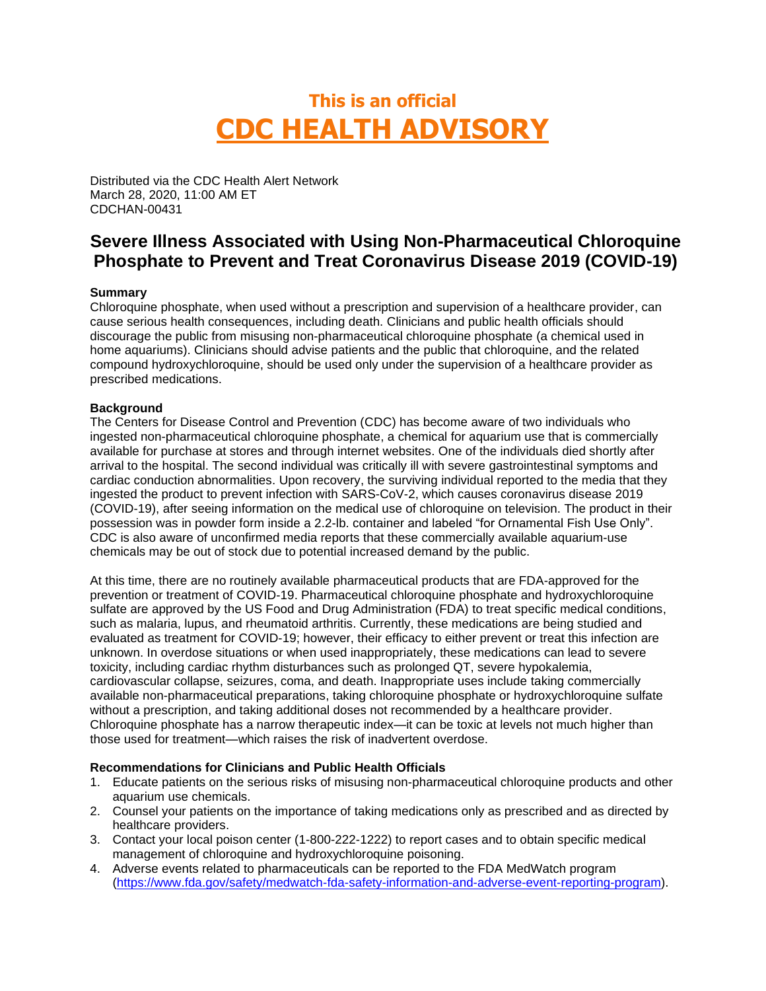# **This is an official CDC HEALTH ADVISORY**

Distributed via the CDC Health Alert Network March 28, 2020, 11:00 AM ET CDCHAN-00431

# **Severe Illness Associated with Using Non-Pharmaceutical Chloroquine Phosphate to Prevent and Treat Coronavirus Disease 2019 (COVID-19)**

# **Summary**

Chloroquine phosphate, when used without a prescription and supervision of a healthcare provider, can cause serious health consequences, including death. Clinicians and public health officials should discourage the public from misusing non-pharmaceutical chloroquine phosphate (a chemical used in home aquariums). Clinicians should advise patients and the public that chloroquine, and the related compound hydroxychloroquine, should be used only under the supervision of a healthcare provider as prescribed medications.

## **Background**

The Centers for Disease Control and Prevention (CDC) has become aware of two individuals who ingested non-pharmaceutical chloroquine phosphate, a chemical for aquarium use that is commercially available for purchase at stores and through internet websites. One of the individuals died shortly after arrival to the hospital. The second individual was critically ill with severe gastrointestinal symptoms and cardiac conduction abnormalities. Upon recovery, the surviving individual reported to the media that they ingested the product to prevent infection with SARS-CoV-2, which causes coronavirus disease 2019 (COVID-19), after seeing information on the medical use of chloroquine on television. The product in their possession was in powder form inside a 2.2-lb. container and labeled "for Ornamental Fish Use Only". CDC is also aware of unconfirmed media reports that these commercially available aquarium-use chemicals may be out of stock due to potential increased demand by the public.

At this time, there are no routinely available pharmaceutical products that are FDA-approved for the prevention or treatment of COVID-19. Pharmaceutical chloroquine phosphate and hydroxychloroquine sulfate are approved by the US Food and Drug Administration (FDA) to treat specific medical conditions, such as malaria, lupus, and rheumatoid arthritis. Currently, these medications are being studied and evaluated as treatment for COVID-19; however, their efficacy to either prevent or treat this infection are unknown. In overdose situations or when used inappropriately, these medications can lead to severe toxicity, including cardiac rhythm disturbances such as prolonged QT, severe hypokalemia, cardiovascular collapse, seizures, coma, and death. Inappropriate uses include taking commercially available non-pharmaceutical preparations, taking chloroquine phosphate or hydroxychloroquine sulfate without a prescription, and taking additional doses not recommended by a healthcare provider. Chloroquine phosphate has a narrow therapeutic index—it can be toxic at levels not much higher than those used for treatment—which raises the risk of inadvertent overdose.

#### **Recommendations for Clinicians and Public Health Officials**

- 1. Educate patients on the serious risks of misusing non-pharmaceutical chloroquine products and other aquarium use chemicals.
- 2. Counsel your patients on the importance of taking medications only as prescribed and as directed by healthcare providers.
- 3. Contact your local poison center (1-800-222-1222) to report cases and to obtain specific medical management of chloroquine and hydroxychloroquine poisoning.
- 4. Adverse events related to pharmaceuticals can be reported to the FDA MedWatch program [\(https://www.fda.gov/safety/medwatch-fda-safety-information-and-adverse-event-reporting-program\)](https://www.fda.gov/safety/medwatch-fda-safety-information-and-adverse-event-reporting-program).